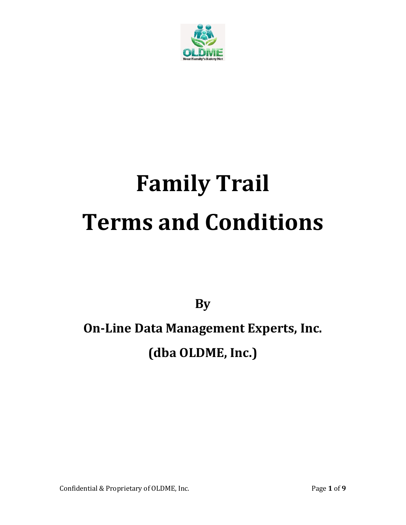

# **Family Trail Terms and Conditions**

**By**

## **On-Line Data Management Experts, Inc. (dba OLDME, Inc.)**

Confidential & Proprietary of OLDME, Inc. Page 1 of 9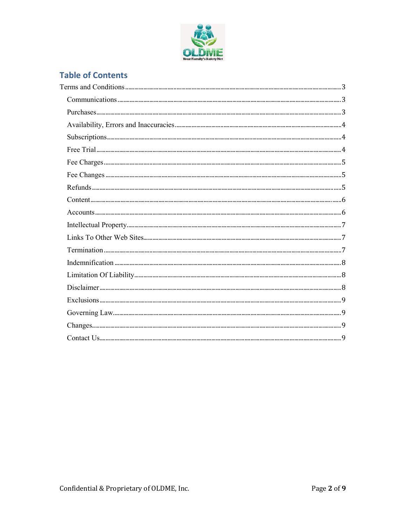

### **Table of Contents**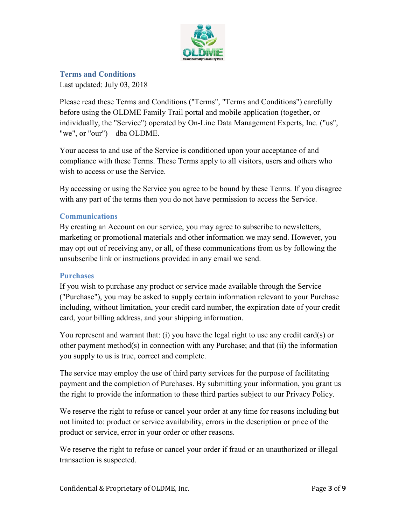

<span id="page-2-0"></span>**Terms and Conditions**

Last updated: July 03, 2018

Please read these Terms and Conditions ("Terms", "Terms and Conditions") carefully before using the OLDME Family Trail portal and mobile application (together, or individually, the "Service") operated by On-Line Data Management Experts, Inc. ("us", "we", or "our") – dba OLDME.

Your access to and use of the Service is conditioned upon your acceptance of and compliance with these Terms. These Terms apply to all visitors, users and others who wish to access or use the Service.

By accessing or using the Service you agree to be bound by these Terms. If you disagree with any part of the terms then you do not have permission to access the Service.

#### <span id="page-2-1"></span>**Communications**

By creating an Account on our service, you may agree to subscribe to newsletters, marketing or promotional materials and other information we may send. However, you may opt out of receiving any, or all, of these communications from us by following the unsubscribe link or instructions provided in any email we send.

#### <span id="page-2-2"></span>**Purchases**

If you wish to purchase any product or service made available through the Service ("Purchase"), you may be asked to supply certain information relevant to your Purchase including, without limitation, your credit card number, the expiration date of your credit card, your billing address, and your shipping information.

You represent and warrant that: (i) you have the legal right to use any credit card(s) or other payment method(s) in connection with any Purchase; and that (ii) the information you supply to us is true, correct and complete.

The service may employ the use of third party services for the purpose of facilitating payment and the completion of Purchases. By submitting your information, you grant us the right to provide the information to these third parties subject to our Privacy Policy.

We reserve the right to refuse or cancel your order at any time for reasons including but not limited to: product or service availability, errors in the description or price of the product or service, error in your order or other reasons.

We reserve the right to refuse or cancel your order if fraud or an unauthorized or illegal transaction is suspected.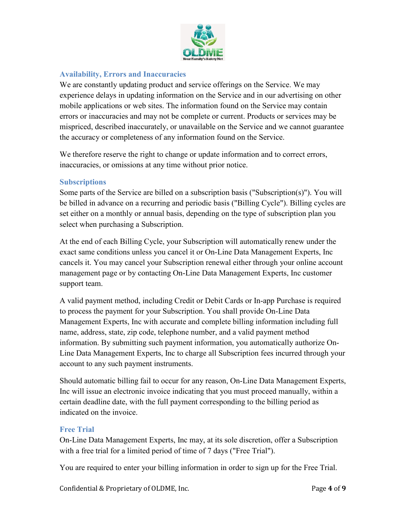

#### <span id="page-3-0"></span>**Availability, Errors and Inaccuracies**

We are constantly updating product and service offerings on the Service. We may experience delays in updating information on the Service and in our advertising on other mobile applications or web sites. The information found on the Service may contain errors or inaccuracies and may not be complete or current. Products or services may be mispriced, described inaccurately, or unavailable on the Service and we cannot guarantee the accuracy or completeness of any information found on the Service.

We therefore reserve the right to change or update information and to correct errors, inaccuracies, or omissions at any time without prior notice.

#### <span id="page-3-1"></span>**Subscriptions**

Some parts of the Service are billed on a subscription basis ("Subscription(s)"). You will be billed in advance on a recurring and periodic basis ("Billing Cycle"). Billing cycles are set either on a monthly or annual basis, depending on the type of subscription plan you select when purchasing a Subscription.

At the end of each Billing Cycle, your Subscription will automatically renew under the exact same conditions unless you cancel it or On-Line Data Management Experts, Inc cancels it. You may cancel your Subscription renewal either through your online account management page or by contacting On-Line Data Management Experts, Inc customer support team.

A valid payment method, including Credit or Debit Cards or In-app Purchase is required to process the payment for your Subscription. You shall provide On-Line Data Management Experts, Inc with accurate and complete billing information including full name, address, state, zip code, telephone number, and a valid payment method information. By submitting such payment information, you automatically authorize On-Line Data Management Experts, Inc to charge all Subscription fees incurred through your account to any such payment instruments.

Should automatic billing fail to occur for any reason, On-Line Data Management Experts, Inc will issue an electronic invoice indicating that you must proceed manually, within a certain deadline date, with the full payment corresponding to the billing period as indicated on the invoice.

#### <span id="page-3-2"></span>**Free Trial**

On-Line Data Management Experts, Inc may, at its sole discretion, offer a Subscription with a free trial for a limited period of time of 7 days ("Free Trial").

You are required to enter your billing information in order to sign up for the Free Trial.

Confidential & Proprietary of OLDME, Inc. Page 4 of 9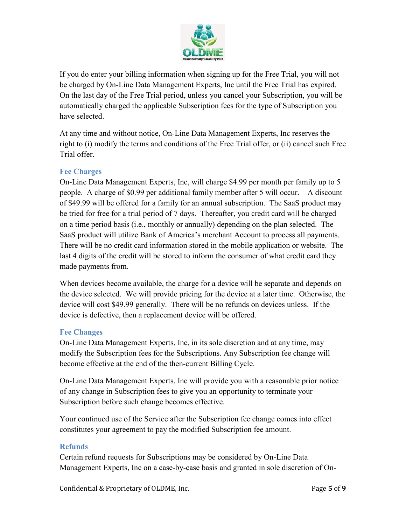

If you do enter your billing information when signing up for the Free Trial, you will not be charged by On-Line Data Management Experts, Inc until the Free Trial has expired. On the last day of the Free Trial period, unless you cancel your Subscription, you will be automatically charged the applicable Subscription fees for the type of Subscription you have selected.

At any time and without notice, On-Line Data Management Experts, Inc reserves the right to (i) modify the terms and conditions of the Free Trial offer, or (ii) cancel such Free Trial offer.

#### <span id="page-4-0"></span>**Fee Charges**

On-Line Data Management Experts, Inc, will charge \$4.99 per month per family up to 5 people. A charge of \$0.99 per additional family member after 5 will occur. A discount of \$49.99 will be offered for a family for an annual subscription. The SaaS product may be tried for free for a trial period of 7 days. Thereafter, you credit card will be charged on a time period basis (i.e., monthly or annually) depending on the plan selected. The SaaS product will utilize Bank of America's merchant Account to process all payments. There will be no credit card information stored in the mobile application or website. The last 4 digits of the credit will be stored to inform the consumer of what credit card they made payments from.

When devices become available, the charge for a device will be separate and depends on the device selected. We will provide pricing for the device at a later time. Otherwise, the device will cost \$49.99 generally. There will be no refunds on devices unless. If the device is defective, then a replacement device will be offered.

#### <span id="page-4-1"></span>**Fee Changes**

On-Line Data Management Experts, Inc, in its sole discretion and at any time, may modify the Subscription fees for the Subscriptions. Any Subscription fee change will become effective at the end of the then-current Billing Cycle.

On-Line Data Management Experts, Inc will provide you with a reasonable prior notice of any change in Subscription fees to give you an opportunity to terminate your Subscription before such change becomes effective.

Your continued use of the Service after the Subscription fee change comes into effect constitutes your agreement to pay the modified Subscription fee amount.

#### <span id="page-4-2"></span>**Refunds**

Certain refund requests for Subscriptions may be considered by On-Line Data Management Experts, Inc on a case-by-case basis and granted in sole discretion of On-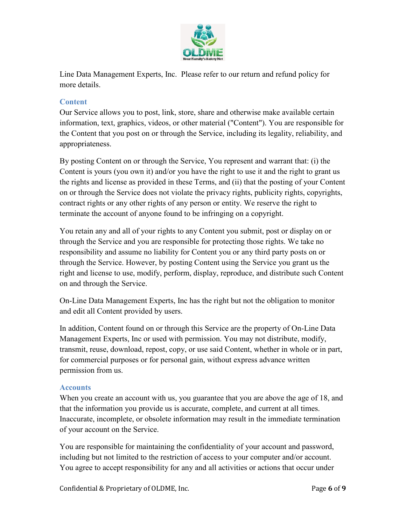

Line Data Management Experts, Inc. Please refer to our return and refund policy for more details.

#### <span id="page-5-0"></span>**Content**

Our Service allows you to post, link, store, share and otherwise make available certain information, text, graphics, videos, or other material ("Content"). You are responsible for the Content that you post on or through the Service, including its legality, reliability, and appropriateness.

By posting Content on or through the Service, You represent and warrant that: (i) the Content is yours (you own it) and/or you have the right to use it and the right to grant us the rights and license as provided in these Terms, and (ii) that the posting of your Content on or through the Service does not violate the privacy rights, publicity rights, copyrights, contract rights or any other rights of any person or entity. We reserve the right to terminate the account of anyone found to be infringing on a copyright.

You retain any and all of your rights to any Content you submit, post or display on or through the Service and you are responsible for protecting those rights. We take no responsibility and assume no liability for Content you or any third party posts on or through the Service. However, by posting Content using the Service you grant us the right and license to use, modify, perform, display, reproduce, and distribute such Content on and through the Service.

On-Line Data Management Experts, Inc has the right but not the obligation to monitor and edit all Content provided by users.

In addition, Content found on or through this Service are the property of On-Line Data Management Experts, Inc or used with permission. You may not distribute, modify, transmit, reuse, download, repost, copy, or use said Content, whether in whole or in part, for commercial purposes or for personal gain, without express advance written permission from us.

#### <span id="page-5-1"></span>**Accounts**

When you create an account with us, you guarantee that you are above the age of 18, and that the information you provide us is accurate, complete, and current at all times. Inaccurate, incomplete, or obsolete information may result in the immediate termination of your account on the Service.

You are responsible for maintaining the confidentiality of your account and password, including but not limited to the restriction of access to your computer and/or account. You agree to accept responsibility for any and all activities or actions that occur under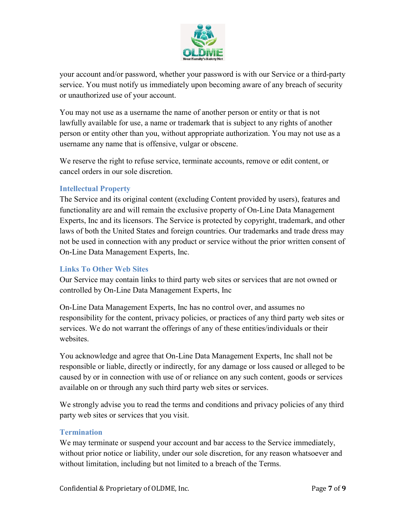

your account and/or password, whether your password is with our Service or a third-party service. You must notify us immediately upon becoming aware of any breach of security or unauthorized use of your account.

You may not use as a username the name of another person or entity or that is not lawfully available for use, a name or trademark that is subject to any rights of another person or entity other than you, without appropriate authorization. You may not use as a username any name that is offensive, vulgar or obscene.

We reserve the right to refuse service, terminate accounts, remove or edit content, or cancel orders in our sole discretion.

#### <span id="page-6-0"></span>**Intellectual Property**

The Service and its original content (excluding Content provided by users), features and functionality are and will remain the exclusive property of On-Line Data Management Experts, Inc and its licensors. The Service is protected by copyright, trademark, and other laws of both the United States and foreign countries. Our trademarks and trade dress may not be used in connection with any product or service without the prior written consent of On-Line Data Management Experts, Inc.

#### <span id="page-6-1"></span>**Links To Other Web Sites**

Our Service may contain links to third party web sites or services that are not owned or controlled by On-Line Data Management Experts, Inc

On-Line Data Management Experts, Inc has no control over, and assumes no responsibility for the content, privacy policies, or practices of any third party web sites or services. We do not warrant the offerings of any of these entities/individuals or their websites.

You acknowledge and agree that On-Line Data Management Experts, Inc shall not be responsible or liable, directly or indirectly, for any damage or loss caused or alleged to be caused by or in connection with use of or reliance on any such content, goods or services available on or through any such third party web sites or services.

We strongly advise you to read the terms and conditions and privacy policies of any third party web sites or services that you visit.

#### <span id="page-6-2"></span>**Termination**

We may terminate or suspend your account and bar access to the Service immediately, without prior notice or liability, under our sole discretion, for any reason whatsoever and without limitation, including but not limited to a breach of the Terms.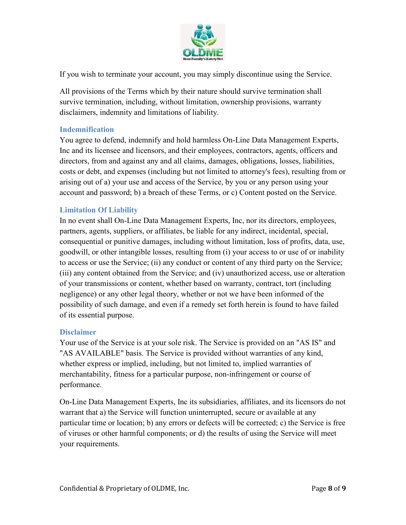

If you wish to terminate your account, you may simply discontinue using the Service.

All provisions of the Terms which by their nature should survive termination shall survive termination, including, without limitation, ownership provisions, warranty disclaimers, indemnity and limitations of liability.

#### <span id="page-7-0"></span>**Indemnification**

You agree to defend, indemnify and hold harmless On-Line Data Management Experts, Inc and its licensee and licensors, and their employees, contractors, agents, officers and directors, from and against any and all claims, damages, obligations, losses, liabilities, costs or debt, and expenses (including but not limited to attorney's fees), resulting from or arising out of a) your use and access of the Service, by you or any person using your account and password; b) a breach of these Terms, or c) Content posted on the Service.

#### <span id="page-7-1"></span>**Limitation Of Liability**

In no event shall On-Line Data Management Experts, Inc, nor its directors, employees, partners, agents, suppliers, or affiliates, be liable for any indirect, incidental, special, consequential or punitive damages, including without limitation, loss of profits, data, use, goodwill, or other intangible losses, resulting from (i) your access to or use of or inability to access or use the Service; (ii) any conduct or content of any third party on the Service; (iii) any content obtained from the Service; and (iv) unauthorized access, use or alteration of your transmissions or content, whether based on warranty, contract, tort (including negligence) or any other legal theory, whether or not we have been informed of the possibility of such damage, and even if a remedy set forth herein is found to have failed of its essential purpose.

#### <span id="page-7-2"></span>**Disclaimer**

Your use of the Service is at your sole risk. The Service is provided on an "AS IS" and "AS AVAILABLE" basis. The Service is provided without warranties of any kind, whether express or implied, including, but not limited to, implied warranties of merchantability, fitness for a particular purpose, non-infringement or course of performance.

On-Line Data Management Experts, Inc its subsidiaries, affiliates, and its licensors do not warrant that a) the Service will function uninterrupted, secure or available at any particular time or location; b) any errors or defects will be corrected; c) the Service is free of viruses or other harmful components; or d) the results of using the Service will meet your requirements.